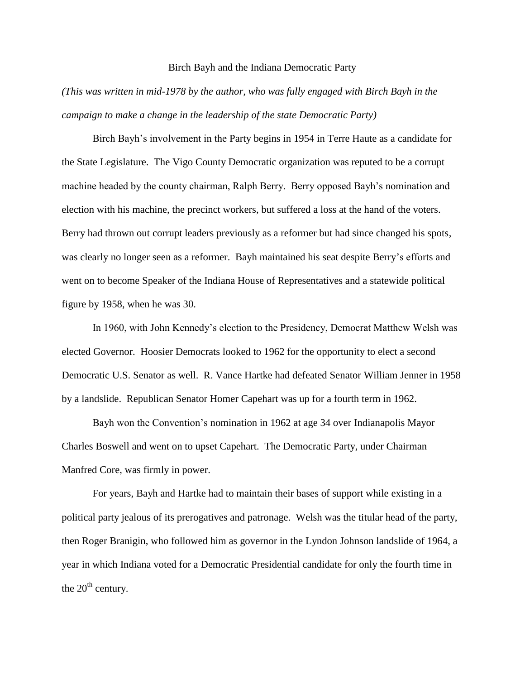## Birch Bayh and the Indiana Democratic Party

*(This was written in mid-1978 by the author, who was fully engaged with Birch Bayh in the campaign to make a change in the leadership of the state Democratic Party)*

Birch Bayh's involvement in the Party begins in 1954 in Terre Haute as a candidate for the State Legislature. The Vigo County Democratic organization was reputed to be a corrupt machine headed by the county chairman, Ralph Berry. Berry opposed Bayh's nomination and election with his machine, the precinct workers, but suffered a loss at the hand of the voters. Berry had thrown out corrupt leaders previously as a reformer but had since changed his spots, was clearly no longer seen as a reformer. Bayh maintained his seat despite Berry's efforts and went on to become Speaker of the Indiana House of Representatives and a statewide political figure by 1958, when he was 30.

In 1960, with John Kennedy's election to the Presidency, Democrat Matthew Welsh was elected Governor. Hoosier Democrats looked to 1962 for the opportunity to elect a second Democratic U.S. Senator as well. R. Vance Hartke had defeated Senator William Jenner in 1958 by a landslide. Republican Senator Homer Capehart was up for a fourth term in 1962.

Bayh won the Convention's nomination in 1962 at age 34 over Indianapolis Mayor Charles Boswell and went on to upset Capehart. The Democratic Party, under Chairman Manfred Core, was firmly in power.

For years, Bayh and Hartke had to maintain their bases of support while existing in a political party jealous of its prerogatives and patronage. Welsh was the titular head of the party, then Roger Branigin, who followed him as governor in the Lyndon Johnson landslide of 1964, a year in which Indiana voted for a Democratic Presidential candidate for only the fourth time in the  $20<sup>th</sup>$  century.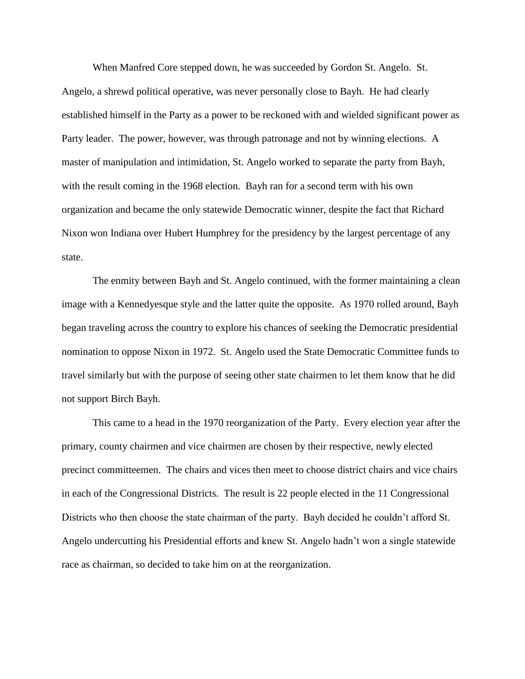When Manfred Core stepped down, he was succeeded by Gordon St. Angelo. St. Angelo, a shrewd political operative, was never personally close to Bayh. He had clearly established himself in the Party as a power to be reckoned with and wielded significant power as Party leader. The power, however, was through patronage and not by winning elections. A master of manipulation and intimidation, St. Angelo worked to separate the party from Bayh, with the result coming in the 1968 election. Bayh ran for a second term with his own organization and became the only statewide Democratic winner, despite the fact that Richard Nixon won Indiana over Hubert Humphrey for the presidency by the largest percentage of any state.

The enmity between Bayh and St. Angelo continued, with the former maintaining a clean image with a Kennedyesque style and the latter quite the opposite. As 1970 rolled around, Bayh began traveling across the country to explore his chances of seeking the Democratic presidential nomination to oppose Nixon in 1972. St. Angelo used the State Democratic Committee funds to travel similarly but with the purpose of seeing other state chairmen to let them know that he did not support Birch Bayh.

This came to a head in the 1970 reorganization of the Party. Every election year after the primary, county chairmen and vice chairmen are chosen by their respective, newly elected precinct committeemen. The chairs and vices then meet to choose district chairs and vice chairs in each of the Congressional Districts. The result is 22 people elected in the 11 Congressional Districts who then choose the state chairman of the party. Bayh decided he couldn't afford St. Angelo undercutting his Presidential efforts and knew St. Angelo hadn't won a single statewide race as chairman, so decided to take him on at the reorganization.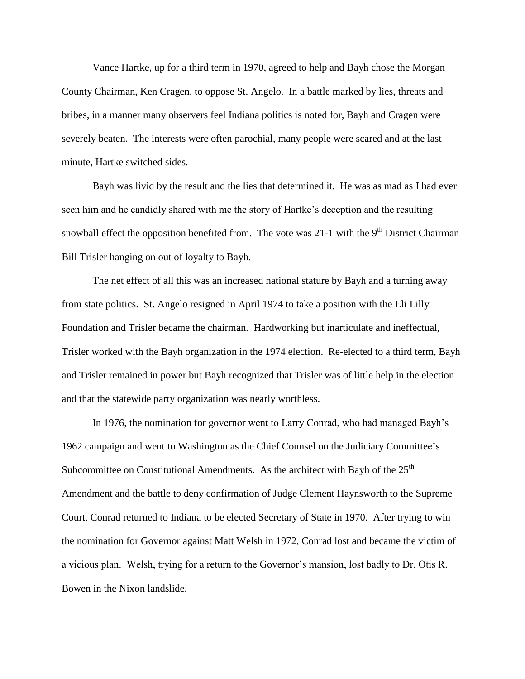Vance Hartke, up for a third term in 1970, agreed to help and Bayh chose the Morgan County Chairman, Ken Cragen, to oppose St. Angelo. In a battle marked by lies, threats and bribes, in a manner many observers feel Indiana politics is noted for, Bayh and Cragen were severely beaten. The interests were often parochial, many people were scared and at the last minute, Hartke switched sides.

Bayh was livid by the result and the lies that determined it. He was as mad as I had ever seen him and he candidly shared with me the story of Hartke's deception and the resulting snowball effect the opposition benefited from. The vote was  $21-1$  with the  $9<sup>th</sup>$  District Chairman Bill Trisler hanging on out of loyalty to Bayh.

The net effect of all this was an increased national stature by Bayh and a turning away from state politics. St. Angelo resigned in April 1974 to take a position with the Eli Lilly Foundation and Trisler became the chairman. Hardworking but inarticulate and ineffectual, Trisler worked with the Bayh organization in the 1974 election. Re-elected to a third term, Bayh and Trisler remained in power but Bayh recognized that Trisler was of little help in the election and that the statewide party organization was nearly worthless.

In 1976, the nomination for governor went to Larry Conrad, who had managed Bayh's 1962 campaign and went to Washington as the Chief Counsel on the Judiciary Committee's Subcommittee on Constitutional Amendments. As the architect with Bayh of the  $25<sup>th</sup>$ Amendment and the battle to deny confirmation of Judge Clement Haynsworth to the Supreme Court, Conrad returned to Indiana to be elected Secretary of State in 1970. After trying to win the nomination for Governor against Matt Welsh in 1972, Conrad lost and became the victim of a vicious plan. Welsh, trying for a return to the Governor's mansion, lost badly to Dr. Otis R. Bowen in the Nixon landslide.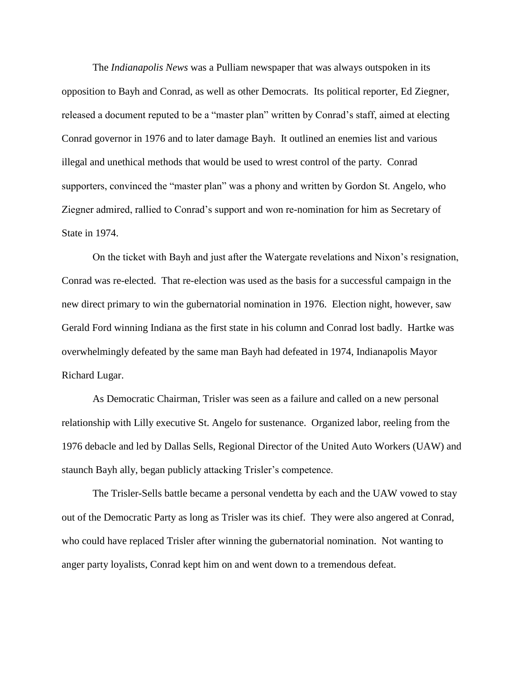The *Indianapolis News* was a Pulliam newspaper that was always outspoken in its opposition to Bayh and Conrad, as well as other Democrats. Its political reporter, Ed Ziegner, released a document reputed to be a "master plan" written by Conrad's staff, aimed at electing Conrad governor in 1976 and to later damage Bayh. It outlined an enemies list and various illegal and unethical methods that would be used to wrest control of the party. Conrad supporters, convinced the "master plan" was a phony and written by Gordon St. Angelo, who Ziegner admired, rallied to Conrad's support and won re-nomination for him as Secretary of State in 1974.

On the ticket with Bayh and just after the Watergate revelations and Nixon's resignation, Conrad was re-elected. That re-election was used as the basis for a successful campaign in the new direct primary to win the gubernatorial nomination in 1976. Election night, however, saw Gerald Ford winning Indiana as the first state in his column and Conrad lost badly. Hartke was overwhelmingly defeated by the same man Bayh had defeated in 1974, Indianapolis Mayor Richard Lugar.

As Democratic Chairman, Trisler was seen as a failure and called on a new personal relationship with Lilly executive St. Angelo for sustenance. Organized labor, reeling from the 1976 debacle and led by Dallas Sells, Regional Director of the United Auto Workers (UAW) and staunch Bayh ally, began publicly attacking Trisler's competence.

The Trisler-Sells battle became a personal vendetta by each and the UAW vowed to stay out of the Democratic Party as long as Trisler was its chief. They were also angered at Conrad, who could have replaced Trisler after winning the gubernatorial nomination. Not wanting to anger party loyalists, Conrad kept him on and went down to a tremendous defeat.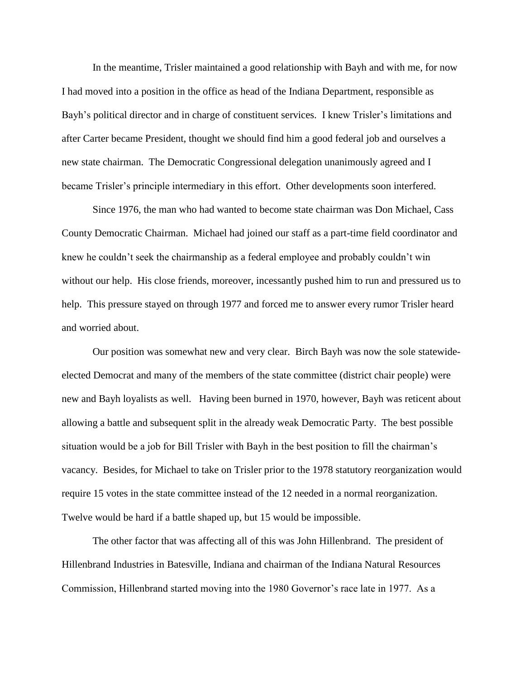In the meantime, Trisler maintained a good relationship with Bayh and with me, for now I had moved into a position in the office as head of the Indiana Department, responsible as Bayh's political director and in charge of constituent services. I knew Trisler's limitations and after Carter became President, thought we should find him a good federal job and ourselves a new state chairman. The Democratic Congressional delegation unanimously agreed and I became Trisler's principle intermediary in this effort. Other developments soon interfered.

Since 1976, the man who had wanted to become state chairman was Don Michael, Cass County Democratic Chairman. Michael had joined our staff as a part-time field coordinator and knew he couldn't seek the chairmanship as a federal employee and probably couldn't win without our help. His close friends, moreover, incessantly pushed him to run and pressured us to help. This pressure stayed on through 1977 and forced me to answer every rumor Trisler heard and worried about.

Our position was somewhat new and very clear. Birch Bayh was now the sole statewideelected Democrat and many of the members of the state committee (district chair people) were new and Bayh loyalists as well. Having been burned in 1970, however, Bayh was reticent about allowing a battle and subsequent split in the already weak Democratic Party. The best possible situation would be a job for Bill Trisler with Bayh in the best position to fill the chairman's vacancy. Besides, for Michael to take on Trisler prior to the 1978 statutory reorganization would require 15 votes in the state committee instead of the 12 needed in a normal reorganization. Twelve would be hard if a battle shaped up, but 15 would be impossible.

The other factor that was affecting all of this was John Hillenbrand. The president of Hillenbrand Industries in Batesville, Indiana and chairman of the Indiana Natural Resources Commission, Hillenbrand started moving into the 1980 Governor's race late in 1977. As a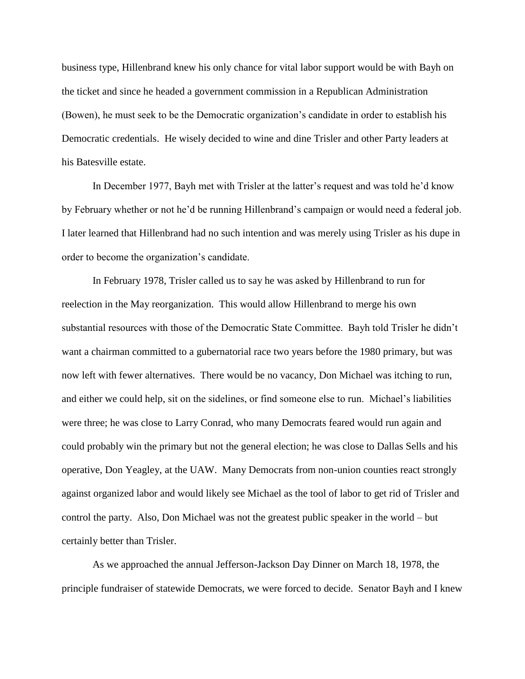business type, Hillenbrand knew his only chance for vital labor support would be with Bayh on the ticket and since he headed a government commission in a Republican Administration (Bowen), he must seek to be the Democratic organization's candidate in order to establish his Democratic credentials. He wisely decided to wine and dine Trisler and other Party leaders at his Batesville estate.

In December 1977, Bayh met with Trisler at the latter's request and was told he'd know by February whether or not he'd be running Hillenbrand's campaign or would need a federal job. I later learned that Hillenbrand had no such intention and was merely using Trisler as his dupe in order to become the organization's candidate.

In February 1978, Trisler called us to say he was asked by Hillenbrand to run for reelection in the May reorganization. This would allow Hillenbrand to merge his own substantial resources with those of the Democratic State Committee. Bayh told Trisler he didn't want a chairman committed to a gubernatorial race two years before the 1980 primary, but was now left with fewer alternatives. There would be no vacancy, Don Michael was itching to run, and either we could help, sit on the sidelines, or find someone else to run. Michael's liabilities were three; he was close to Larry Conrad, who many Democrats feared would run again and could probably win the primary but not the general election; he was close to Dallas Sells and his operative, Don Yeagley, at the UAW. Many Democrats from non-union counties react strongly against organized labor and would likely see Michael as the tool of labor to get rid of Trisler and control the party. Also, Don Michael was not the greatest public speaker in the world – but certainly better than Trisler.

As we approached the annual Jefferson-Jackson Day Dinner on March 18, 1978, the principle fundraiser of statewide Democrats, we were forced to decide. Senator Bayh and I knew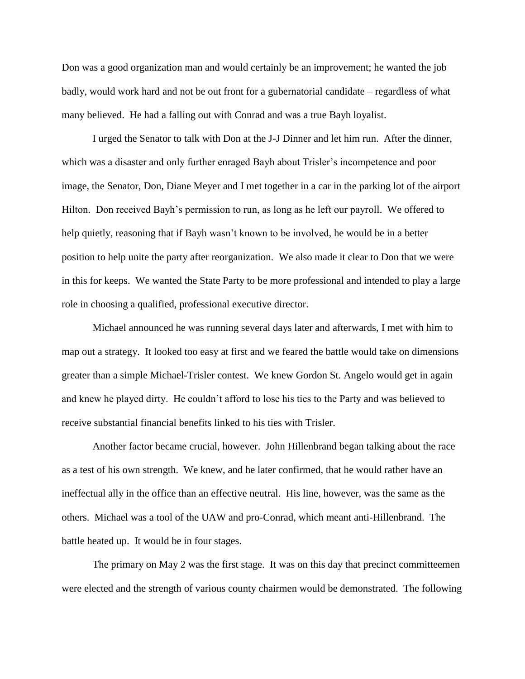Don was a good organization man and would certainly be an improvement; he wanted the job badly, would work hard and not be out front for a gubernatorial candidate – regardless of what many believed. He had a falling out with Conrad and was a true Bayh loyalist.

I urged the Senator to talk with Don at the J-J Dinner and let him run. After the dinner, which was a disaster and only further enraged Bayh about Trisler's incompetence and poor image, the Senator, Don, Diane Meyer and I met together in a car in the parking lot of the airport Hilton. Don received Bayh's permission to run, as long as he left our payroll. We offered to help quietly, reasoning that if Bayh wasn't known to be involved, he would be in a better position to help unite the party after reorganization. We also made it clear to Don that we were in this for keeps. We wanted the State Party to be more professional and intended to play a large role in choosing a qualified, professional executive director.

Michael announced he was running several days later and afterwards, I met with him to map out a strategy. It looked too easy at first and we feared the battle would take on dimensions greater than a simple Michael-Trisler contest. We knew Gordon St. Angelo would get in again and knew he played dirty. He couldn't afford to lose his ties to the Party and was believed to receive substantial financial benefits linked to his ties with Trisler.

Another factor became crucial, however. John Hillenbrand began talking about the race as a test of his own strength. We knew, and he later confirmed, that he would rather have an ineffectual ally in the office than an effective neutral. His line, however, was the same as the others. Michael was a tool of the UAW and pro-Conrad, which meant anti-Hillenbrand. The battle heated up. It would be in four stages.

The primary on May 2 was the first stage. It was on this day that precinct committeemen were elected and the strength of various county chairmen would be demonstrated. The following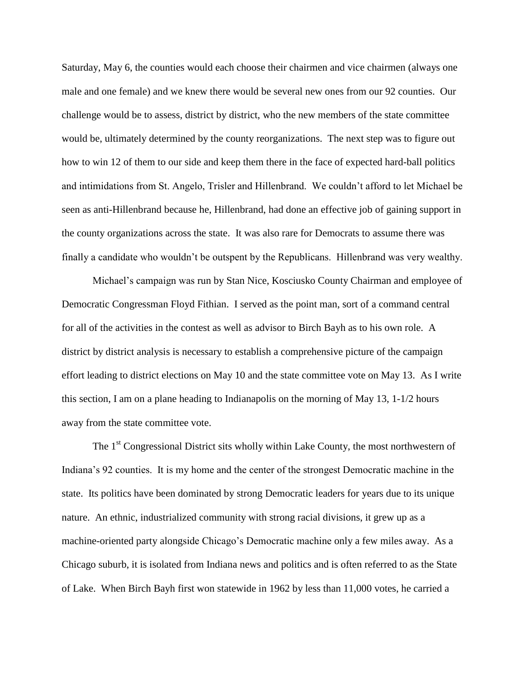Saturday, May 6, the counties would each choose their chairmen and vice chairmen (always one male and one female) and we knew there would be several new ones from our 92 counties. Our challenge would be to assess, district by district, who the new members of the state committee would be, ultimately determined by the county reorganizations. The next step was to figure out how to win 12 of them to our side and keep them there in the face of expected hard-ball politics and intimidations from St. Angelo, Trisler and Hillenbrand. We couldn't afford to let Michael be seen as anti-Hillenbrand because he, Hillenbrand, had done an effective job of gaining support in the county organizations across the state. It was also rare for Democrats to assume there was finally a candidate who wouldn't be outspent by the Republicans. Hillenbrand was very wealthy.

Michael's campaign was run by Stan Nice, Kosciusko County Chairman and employee of Democratic Congressman Floyd Fithian. I served as the point man, sort of a command central for all of the activities in the contest as well as advisor to Birch Bayh as to his own role. A district by district analysis is necessary to establish a comprehensive picture of the campaign effort leading to district elections on May 10 and the state committee vote on May 13. As I write this section, I am on a plane heading to Indianapolis on the morning of May 13, 1-1/2 hours away from the state committee vote.

The  $1<sup>st</sup>$  Congressional District sits wholly within Lake County, the most northwestern of Indiana's 92 counties. It is my home and the center of the strongest Democratic machine in the state. Its politics have been dominated by strong Democratic leaders for years due to its unique nature. An ethnic, industrialized community with strong racial divisions, it grew up as a machine-oriented party alongside Chicago's Democratic machine only a few miles away. As a Chicago suburb, it is isolated from Indiana news and politics and is often referred to as the State of Lake. When Birch Bayh first won statewide in 1962 by less than 11,000 votes, he carried a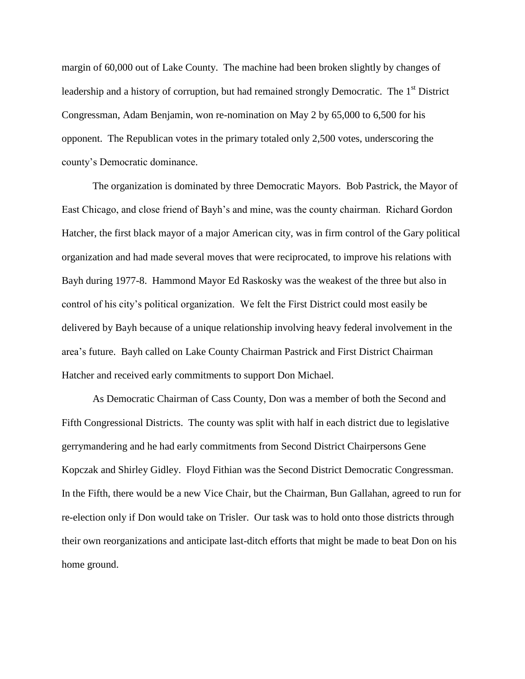margin of 60,000 out of Lake County. The machine had been broken slightly by changes of leadership and a history of corruption, but had remained strongly Democratic. The 1<sup>st</sup> District Congressman, Adam Benjamin, won re-nomination on May 2 by 65,000 to 6,500 for his opponent. The Republican votes in the primary totaled only 2,500 votes, underscoring the county's Democratic dominance.

The organization is dominated by three Democratic Mayors. Bob Pastrick, the Mayor of East Chicago, and close friend of Bayh's and mine, was the county chairman. Richard Gordon Hatcher, the first black mayor of a major American city, was in firm control of the Gary political organization and had made several moves that were reciprocated, to improve his relations with Bayh during 1977-8. Hammond Mayor Ed Raskosky was the weakest of the three but also in control of his city's political organization. We felt the First District could most easily be delivered by Bayh because of a unique relationship involving heavy federal involvement in the area's future. Bayh called on Lake County Chairman Pastrick and First District Chairman Hatcher and received early commitments to support Don Michael.

As Democratic Chairman of Cass County, Don was a member of both the Second and Fifth Congressional Districts. The county was split with half in each district due to legislative gerrymandering and he had early commitments from Second District Chairpersons Gene Kopczak and Shirley Gidley. Floyd Fithian was the Second District Democratic Congressman. In the Fifth, there would be a new Vice Chair, but the Chairman, Bun Gallahan, agreed to run for re-election only if Don would take on Trisler. Our task was to hold onto those districts through their own reorganizations and anticipate last-ditch efforts that might be made to beat Don on his home ground.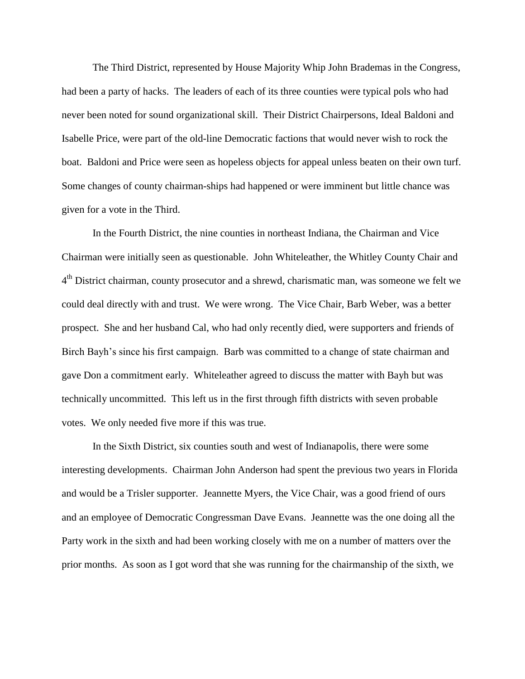The Third District, represented by House Majority Whip John Brademas in the Congress, had been a party of hacks. The leaders of each of its three counties were typical pols who had never been noted for sound organizational skill. Their District Chairpersons, Ideal Baldoni and Isabelle Price, were part of the old-line Democratic factions that would never wish to rock the boat. Baldoni and Price were seen as hopeless objects for appeal unless beaten on their own turf. Some changes of county chairman-ships had happened or were imminent but little chance was given for a vote in the Third.

In the Fourth District, the nine counties in northeast Indiana, the Chairman and Vice Chairman were initially seen as questionable. John Whiteleather, the Whitley County Chair and 4<sup>th</sup> District chairman, county prosecutor and a shrewd, charismatic man, was someone we felt we could deal directly with and trust. We were wrong. The Vice Chair, Barb Weber, was a better prospect. She and her husband Cal, who had only recently died, were supporters and friends of Birch Bayh's since his first campaign. Barb was committed to a change of state chairman and gave Don a commitment early. Whiteleather agreed to discuss the matter with Bayh but was technically uncommitted. This left us in the first through fifth districts with seven probable votes. We only needed five more if this was true.

In the Sixth District, six counties south and west of Indianapolis, there were some interesting developments. Chairman John Anderson had spent the previous two years in Florida and would be a Trisler supporter. Jeannette Myers, the Vice Chair, was a good friend of ours and an employee of Democratic Congressman Dave Evans. Jeannette was the one doing all the Party work in the sixth and had been working closely with me on a number of matters over the prior months. As soon as I got word that she was running for the chairmanship of the sixth, we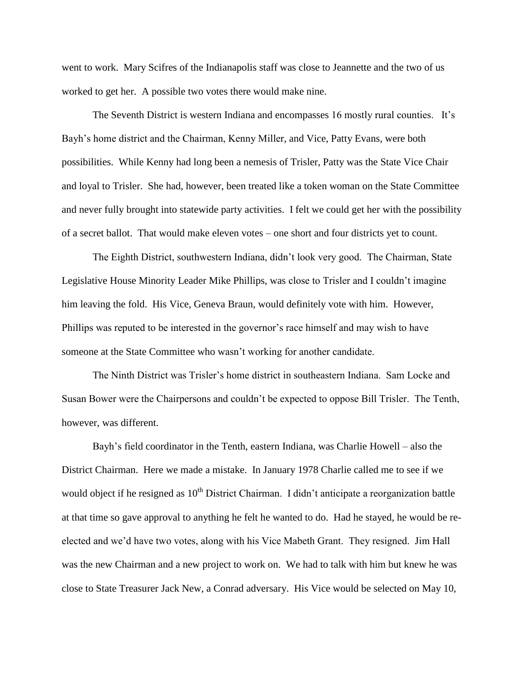went to work. Mary Scifres of the Indianapolis staff was close to Jeannette and the two of us worked to get her. A possible two votes there would make nine.

The Seventh District is western Indiana and encompasses 16 mostly rural counties. It's Bayh's home district and the Chairman, Kenny Miller, and Vice, Patty Evans, were both possibilities. While Kenny had long been a nemesis of Trisler, Patty was the State Vice Chair and loyal to Trisler. She had, however, been treated like a token woman on the State Committee and never fully brought into statewide party activities. I felt we could get her with the possibility of a secret ballot. That would make eleven votes – one short and four districts yet to count.

The Eighth District, southwestern Indiana, didn't look very good. The Chairman, State Legislative House Minority Leader Mike Phillips, was close to Trisler and I couldn't imagine him leaving the fold. His Vice, Geneva Braun, would definitely vote with him. However, Phillips was reputed to be interested in the governor's race himself and may wish to have someone at the State Committee who wasn't working for another candidate.

The Ninth District was Trisler's home district in southeastern Indiana. Sam Locke and Susan Bower were the Chairpersons and couldn't be expected to oppose Bill Trisler. The Tenth, however, was different.

Bayh's field coordinator in the Tenth, eastern Indiana, was Charlie Howell – also the District Chairman. Here we made a mistake. In January 1978 Charlie called me to see if we would object if he resigned as  $10<sup>th</sup>$  District Chairman. I didn't anticipate a reorganization battle at that time so gave approval to anything he felt he wanted to do. Had he stayed, he would be reelected and we'd have two votes, along with his Vice Mabeth Grant. They resigned. Jim Hall was the new Chairman and a new project to work on. We had to talk with him but knew he was close to State Treasurer Jack New, a Conrad adversary. His Vice would be selected on May 10,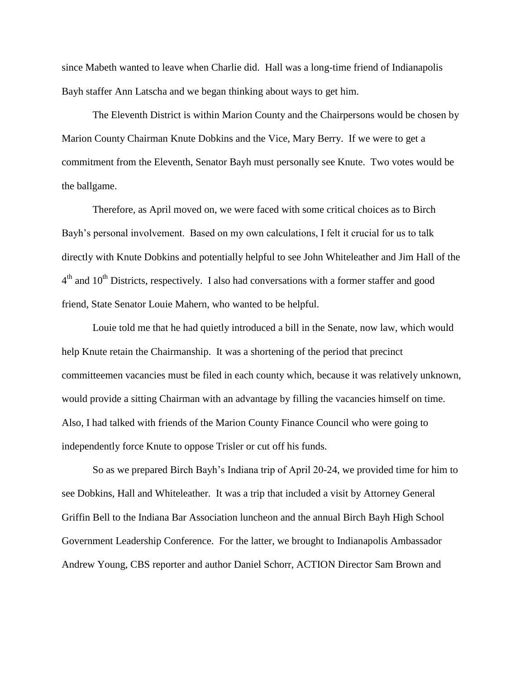since Mabeth wanted to leave when Charlie did. Hall was a long-time friend of Indianapolis Bayh staffer Ann Latscha and we began thinking about ways to get him.

The Eleventh District is within Marion County and the Chairpersons would be chosen by Marion County Chairman Knute Dobkins and the Vice, Mary Berry. If we were to get a commitment from the Eleventh, Senator Bayh must personally see Knute. Two votes would be the ballgame.

Therefore, as April moved on, we were faced with some critical choices as to Birch Bayh's personal involvement. Based on my own calculations, I felt it crucial for us to talk directly with Knute Dobkins and potentially helpful to see John Whiteleather and Jim Hall of the  $4<sup>th</sup>$  and  $10<sup>th</sup>$  Districts, respectively. I also had conversations with a former staffer and good friend, State Senator Louie Mahern, who wanted to be helpful.

Louie told me that he had quietly introduced a bill in the Senate, now law, which would help Knute retain the Chairmanship. It was a shortening of the period that precinct committeemen vacancies must be filed in each county which, because it was relatively unknown, would provide a sitting Chairman with an advantage by filling the vacancies himself on time. Also, I had talked with friends of the Marion County Finance Council who were going to independently force Knute to oppose Trisler or cut off his funds.

So as we prepared Birch Bayh's Indiana trip of April 20-24, we provided time for him to see Dobkins, Hall and Whiteleather. It was a trip that included a visit by Attorney General Griffin Bell to the Indiana Bar Association luncheon and the annual Birch Bayh High School Government Leadership Conference. For the latter, we brought to Indianapolis Ambassador Andrew Young, CBS reporter and author Daniel Schorr, ACTION Director Sam Brown and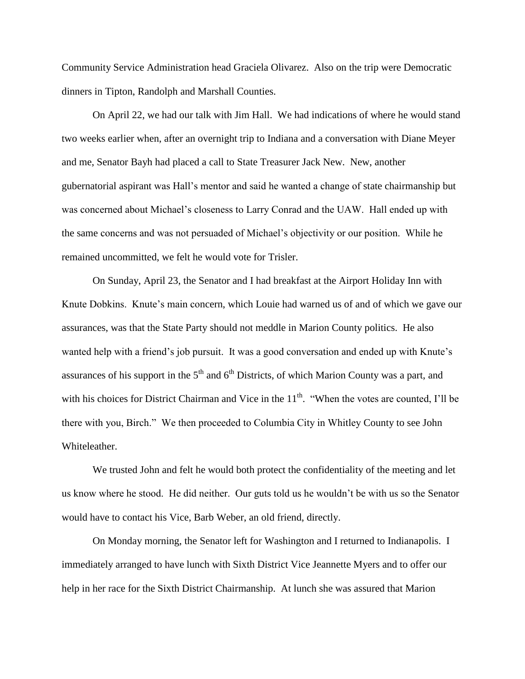Community Service Administration head Graciela Olivarez. Also on the trip were Democratic dinners in Tipton, Randolph and Marshall Counties.

On April 22, we had our talk with Jim Hall. We had indications of where he would stand two weeks earlier when, after an overnight trip to Indiana and a conversation with Diane Meyer and me, Senator Bayh had placed a call to State Treasurer Jack New. New, another gubernatorial aspirant was Hall's mentor and said he wanted a change of state chairmanship but was concerned about Michael's closeness to Larry Conrad and the UAW. Hall ended up with the same concerns and was not persuaded of Michael's objectivity or our position. While he remained uncommitted, we felt he would vote for Trisler.

On Sunday, April 23, the Senator and I had breakfast at the Airport Holiday Inn with Knute Dobkins. Knute's main concern, which Louie had warned us of and of which we gave our assurances, was that the State Party should not meddle in Marion County politics. He also wanted help with a friend's job pursuit. It was a good conversation and ended up with Knute's assurances of his support in the  $5<sup>th</sup>$  and  $6<sup>th</sup>$  Districts, of which Marion County was a part, and with his choices for District Chairman and Vice in the  $11<sup>th</sup>$ . "When the votes are counted, I'll be there with you, Birch." We then proceeded to Columbia City in Whitley County to see John Whiteleather.

We trusted John and felt he would both protect the confidentiality of the meeting and let us know where he stood. He did neither. Our guts told us he wouldn't be with us so the Senator would have to contact his Vice, Barb Weber, an old friend, directly.

On Monday morning, the Senator left for Washington and I returned to Indianapolis. I immediately arranged to have lunch with Sixth District Vice Jeannette Myers and to offer our help in her race for the Sixth District Chairmanship. At lunch she was assured that Marion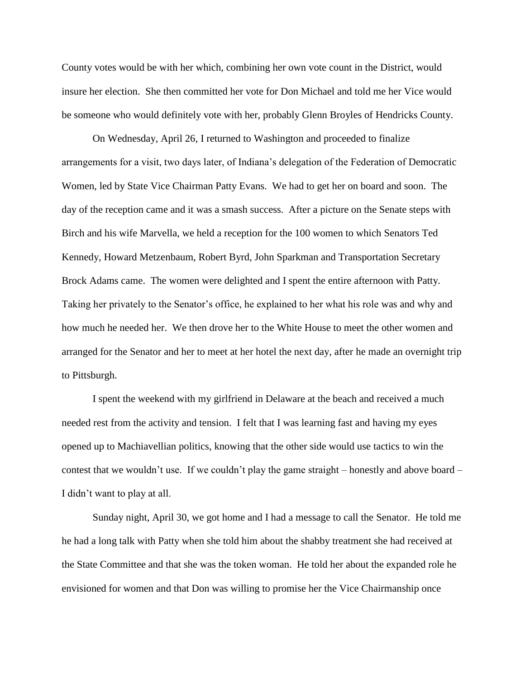County votes would be with her which, combining her own vote count in the District, would insure her election. She then committed her vote for Don Michael and told me her Vice would be someone who would definitely vote with her, probably Glenn Broyles of Hendricks County.

On Wednesday, April 26, I returned to Washington and proceeded to finalize arrangements for a visit, two days later, of Indiana's delegation of the Federation of Democratic Women, led by State Vice Chairman Patty Evans. We had to get her on board and soon. The day of the reception came and it was a smash success. After a picture on the Senate steps with Birch and his wife Marvella, we held a reception for the 100 women to which Senators Ted Kennedy, Howard Metzenbaum, Robert Byrd, John Sparkman and Transportation Secretary Brock Adams came. The women were delighted and I spent the entire afternoon with Patty. Taking her privately to the Senator's office, he explained to her what his role was and why and how much he needed her. We then drove her to the White House to meet the other women and arranged for the Senator and her to meet at her hotel the next day, after he made an overnight trip to Pittsburgh.

I spent the weekend with my girlfriend in Delaware at the beach and received a much needed rest from the activity and tension. I felt that I was learning fast and having my eyes opened up to Machiavellian politics, knowing that the other side would use tactics to win the contest that we wouldn't use. If we couldn't play the game straight – honestly and above board – I didn't want to play at all.

Sunday night, April 30, we got home and I had a message to call the Senator. He told me he had a long talk with Patty when she told him about the shabby treatment she had received at the State Committee and that she was the token woman. He told her about the expanded role he envisioned for women and that Don was willing to promise her the Vice Chairmanship once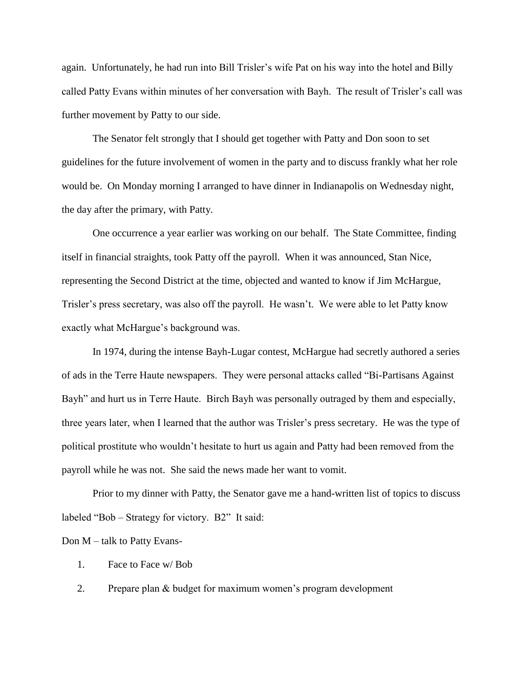again. Unfortunately, he had run into Bill Trisler's wife Pat on his way into the hotel and Billy called Patty Evans within minutes of her conversation with Bayh. The result of Trisler's call was further movement by Patty to our side.

The Senator felt strongly that I should get together with Patty and Don soon to set guidelines for the future involvement of women in the party and to discuss frankly what her role would be. On Monday morning I arranged to have dinner in Indianapolis on Wednesday night, the day after the primary, with Patty.

One occurrence a year earlier was working on our behalf. The State Committee, finding itself in financial straights, took Patty off the payroll. When it was announced, Stan Nice, representing the Second District at the time, objected and wanted to know if Jim McHargue, Trisler's press secretary, was also off the payroll. He wasn't. We were able to let Patty know exactly what McHargue's background was.

In 1974, during the intense Bayh-Lugar contest, McHargue had secretly authored a series of ads in the Terre Haute newspapers. They were personal attacks called "Bi-Partisans Against Bayh" and hurt us in Terre Haute. Birch Bayh was personally outraged by them and especially, three years later, when I learned that the author was Trisler's press secretary. He was the type of political prostitute who wouldn't hesitate to hurt us again and Patty had been removed from the payroll while he was not. She said the news made her want to vomit.

Prior to my dinner with Patty, the Senator gave me a hand-written list of topics to discuss labeled "Bob – Strategy for victory. B2" It said:

Don M – talk to Patty Evans-

1. Face to Face w/ Bob

2. Prepare plan & budget for maximum women's program development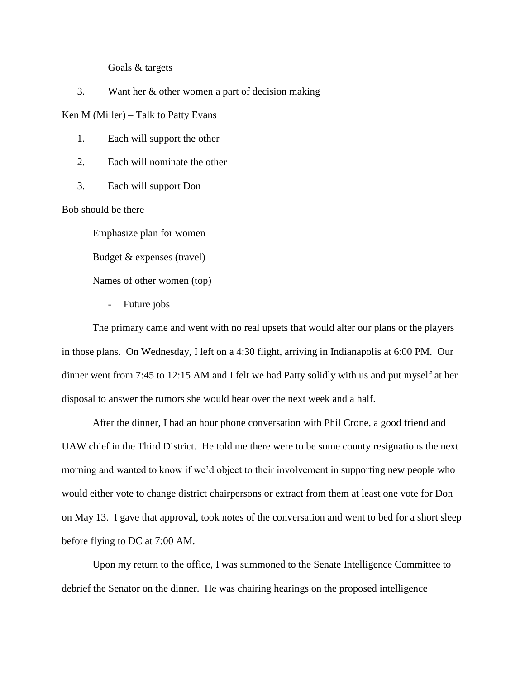Goals & targets

3. Want her & other women a part of decision making

Ken M (Miller) – Talk to Patty Evans

1. Each will support the other

2. Each will nominate the other

3. Each will support Don

Bob should be there

Emphasize plan for women

Budget & expenses (travel)

Names of other women (top)

- Future jobs

The primary came and went with no real upsets that would alter our plans or the players in those plans. On Wednesday, I left on a 4:30 flight, arriving in Indianapolis at 6:00 PM. Our dinner went from 7:45 to 12:15 AM and I felt we had Patty solidly with us and put myself at her disposal to answer the rumors she would hear over the next week and a half.

After the dinner, I had an hour phone conversation with Phil Crone, a good friend and UAW chief in the Third District. He told me there were to be some county resignations the next morning and wanted to know if we'd object to their involvement in supporting new people who would either vote to change district chairpersons or extract from them at least one vote for Don on May 13. I gave that approval, took notes of the conversation and went to bed for a short sleep before flying to DC at 7:00 AM.

Upon my return to the office, I was summoned to the Senate Intelligence Committee to debrief the Senator on the dinner. He was chairing hearings on the proposed intelligence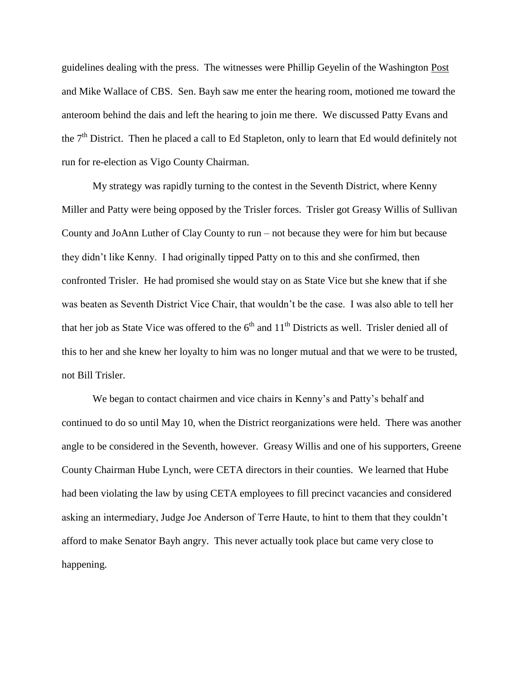guidelines dealing with the press. The witnesses were Phillip Geyelin of the Washington Post and Mike Wallace of CBS. Sen. Bayh saw me enter the hearing room, motioned me toward the anteroom behind the dais and left the hearing to join me there. We discussed Patty Evans and the 7<sup>th</sup> District. Then he placed a call to Ed Stapleton, only to learn that Ed would definitely not run for re-election as Vigo County Chairman.

My strategy was rapidly turning to the contest in the Seventh District, where Kenny Miller and Patty were being opposed by the Trisler forces. Trisler got Greasy Willis of Sullivan County and JoAnn Luther of Clay County to run – not because they were for him but because they didn't like Kenny. I had originally tipped Patty on to this and she confirmed, then confronted Trisler. He had promised she would stay on as State Vice but she knew that if she was beaten as Seventh District Vice Chair, that wouldn't be the case. I was also able to tell her that her job as State Vice was offered to the  $6<sup>th</sup>$  and  $11<sup>th</sup>$  Districts as well. Trisler denied all of this to her and she knew her loyalty to him was no longer mutual and that we were to be trusted, not Bill Trisler.

We began to contact chairmen and vice chairs in Kenny's and Patty's behalf and continued to do so until May 10, when the District reorganizations were held. There was another angle to be considered in the Seventh, however. Greasy Willis and one of his supporters, Greene County Chairman Hube Lynch, were CETA directors in their counties. We learned that Hube had been violating the law by using CETA employees to fill precinct vacancies and considered asking an intermediary, Judge Joe Anderson of Terre Haute, to hint to them that they couldn't afford to make Senator Bayh angry. This never actually took place but came very close to happening.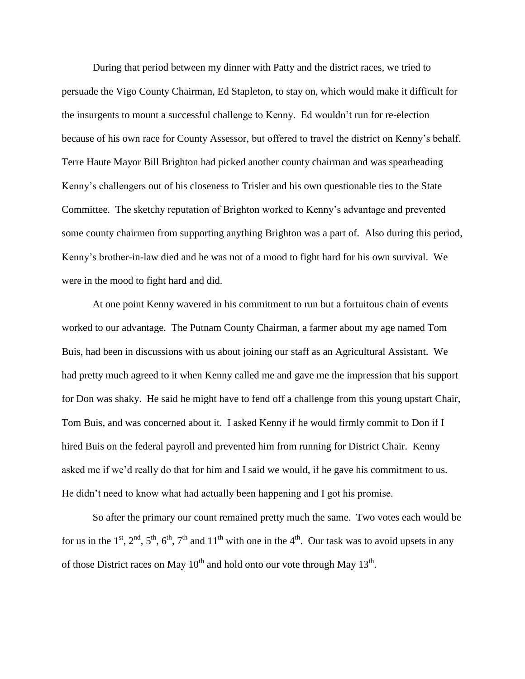During that period between my dinner with Patty and the district races, we tried to persuade the Vigo County Chairman, Ed Stapleton, to stay on, which would make it difficult for the insurgents to mount a successful challenge to Kenny. Ed wouldn't run for re-election because of his own race for County Assessor, but offered to travel the district on Kenny's behalf. Terre Haute Mayor Bill Brighton had picked another county chairman and was spearheading Kenny's challengers out of his closeness to Trisler and his own questionable ties to the State Committee. The sketchy reputation of Brighton worked to Kenny's advantage and prevented some county chairmen from supporting anything Brighton was a part of. Also during this period, Kenny's brother-in-law died and he was not of a mood to fight hard for his own survival. We were in the mood to fight hard and did.

At one point Kenny wavered in his commitment to run but a fortuitous chain of events worked to our advantage. The Putnam County Chairman, a farmer about my age named Tom Buis, had been in discussions with us about joining our staff as an Agricultural Assistant. We had pretty much agreed to it when Kenny called me and gave me the impression that his support for Don was shaky. He said he might have to fend off a challenge from this young upstart Chair, Tom Buis, and was concerned about it. I asked Kenny if he would firmly commit to Don if I hired Buis on the federal payroll and prevented him from running for District Chair. Kenny asked me if we'd really do that for him and I said we would, if he gave his commitment to us. He didn't need to know what had actually been happening and I got his promise.

So after the primary our count remained pretty much the same. Two votes each would be for us in the 1<sup>st</sup>,  $2<sup>nd</sup>$ ,  $5<sup>th</sup>$ ,  $6<sup>th</sup>$ ,  $7<sup>th</sup>$  and  $11<sup>th</sup>$  with one in the 4<sup>th</sup>. Our task was to avoid upsets in any of those District races on May  $10^{th}$  and hold onto our vote through May  $13^{th}$ .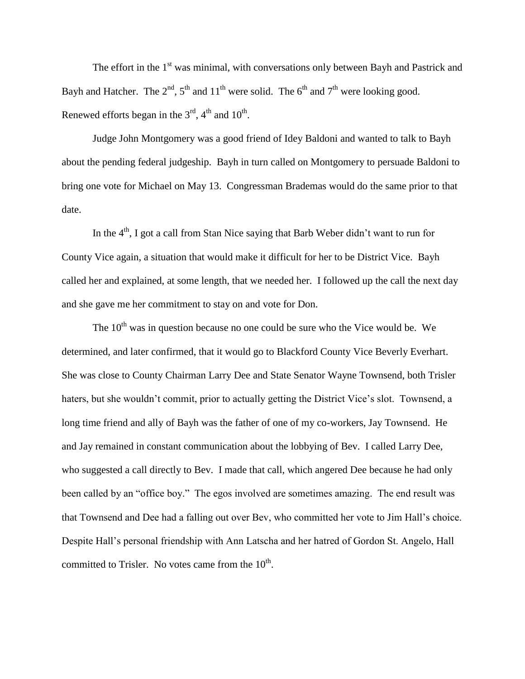The effort in the  $1<sup>st</sup>$  was minimal, with conversations only between Bayh and Pastrick and Bayh and Hatcher. The  $2<sup>nd</sup>$ ,  $5<sup>th</sup>$  and  $11<sup>th</sup>$  were solid. The  $6<sup>th</sup>$  and  $7<sup>th</sup>$  were looking good. Renewed efforts began in the  $3<sup>rd</sup>$ , 4<sup>th</sup> and  $10<sup>th</sup>$ .

Judge John Montgomery was a good friend of Idey Baldoni and wanted to talk to Bayh about the pending federal judgeship. Bayh in turn called on Montgomery to persuade Baldoni to bring one vote for Michael on May 13. Congressman Brademas would do the same prior to that date.

In the  $4<sup>th</sup>$ , I got a call from Stan Nice saying that Barb Weber didn't want to run for County Vice again, a situation that would make it difficult for her to be District Vice. Bayh called her and explained, at some length, that we needed her. I followed up the call the next day and she gave me her commitment to stay on and vote for Don.

The  $10<sup>th</sup>$  was in question because no one could be sure who the Vice would be. We determined, and later confirmed, that it would go to Blackford County Vice Beverly Everhart. She was close to County Chairman Larry Dee and State Senator Wayne Townsend, both Trisler haters, but she wouldn't commit, prior to actually getting the District Vice's slot. Townsend, a long time friend and ally of Bayh was the father of one of my co-workers, Jay Townsend. He and Jay remained in constant communication about the lobbying of Bev. I called Larry Dee, who suggested a call directly to Bev. I made that call, which angered Dee because he had only been called by an "office boy." The egos involved are sometimes amazing. The end result was that Townsend and Dee had a falling out over Bev, who committed her vote to Jim Hall's choice. Despite Hall's personal friendship with Ann Latscha and her hatred of Gordon St. Angelo, Hall committed to Trisler. No votes came from the  $10^{\text{th}}$ .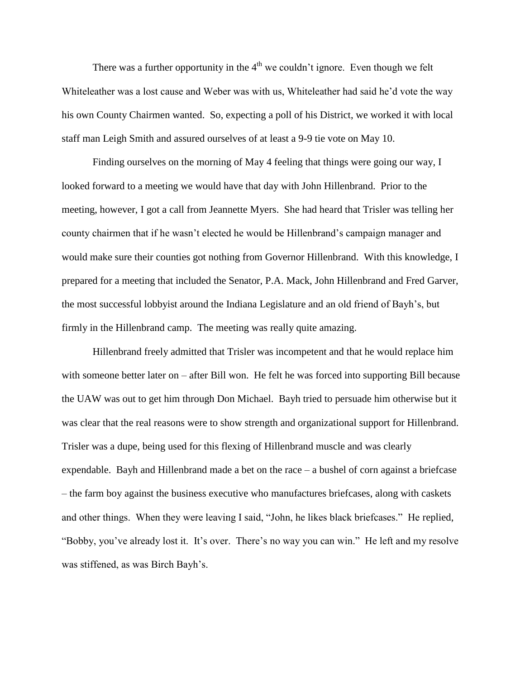There was a further opportunity in the  $4<sup>th</sup>$  we couldn't ignore. Even though we felt Whiteleather was a lost cause and Weber was with us, Whiteleather had said he'd vote the way his own County Chairmen wanted. So, expecting a poll of his District, we worked it with local staff man Leigh Smith and assured ourselves of at least a 9-9 tie vote on May 10.

Finding ourselves on the morning of May 4 feeling that things were going our way, I looked forward to a meeting we would have that day with John Hillenbrand. Prior to the meeting, however, I got a call from Jeannette Myers. She had heard that Trisler was telling her county chairmen that if he wasn't elected he would be Hillenbrand's campaign manager and would make sure their counties got nothing from Governor Hillenbrand. With this knowledge, I prepared for a meeting that included the Senator, P.A. Mack, John Hillenbrand and Fred Garver, the most successful lobbyist around the Indiana Legislature and an old friend of Bayh's, but firmly in the Hillenbrand camp. The meeting was really quite amazing.

Hillenbrand freely admitted that Trisler was incompetent and that he would replace him with someone better later on – after Bill won. He felt he was forced into supporting Bill because the UAW was out to get him through Don Michael. Bayh tried to persuade him otherwise but it was clear that the real reasons were to show strength and organizational support for Hillenbrand. Trisler was a dupe, being used for this flexing of Hillenbrand muscle and was clearly expendable. Bayh and Hillenbrand made a bet on the race – a bushel of corn against a briefcase – the farm boy against the business executive who manufactures briefcases, along with caskets and other things. When they were leaving I said, "John, he likes black briefcases." He replied, "Bobby, you've already lost it. It's over. There's no way you can win." He left and my resolve was stiffened, as was Birch Bayh's.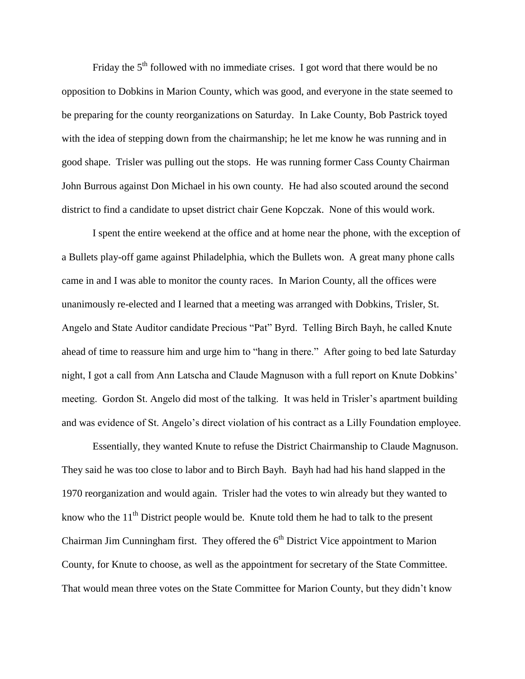Friday the  $5<sup>th</sup>$  followed with no immediate crises. I got word that there would be no opposition to Dobkins in Marion County, which was good, and everyone in the state seemed to be preparing for the county reorganizations on Saturday. In Lake County, Bob Pastrick toyed with the idea of stepping down from the chairmanship; he let me know he was running and in good shape. Trisler was pulling out the stops. He was running former Cass County Chairman John Burrous against Don Michael in his own county. He had also scouted around the second district to find a candidate to upset district chair Gene Kopczak. None of this would work.

I spent the entire weekend at the office and at home near the phone, with the exception of a Bullets play-off game against Philadelphia, which the Bullets won. A great many phone calls came in and I was able to monitor the county races. In Marion County, all the offices were unanimously re-elected and I learned that a meeting was arranged with Dobkins, Trisler, St. Angelo and State Auditor candidate Precious "Pat" Byrd. Telling Birch Bayh, he called Knute ahead of time to reassure him and urge him to "hang in there." After going to bed late Saturday night, I got a call from Ann Latscha and Claude Magnuson with a full report on Knute Dobkins' meeting. Gordon St. Angelo did most of the talking. It was held in Trisler's apartment building and was evidence of St. Angelo's direct violation of his contract as a Lilly Foundation employee.

Essentially, they wanted Knute to refuse the District Chairmanship to Claude Magnuson. They said he was too close to labor and to Birch Bayh. Bayh had had his hand slapped in the 1970 reorganization and would again. Trisler had the votes to win already but they wanted to know who the  $11<sup>th</sup>$  District people would be. Knute told them he had to talk to the present Chairman Jim Cunningham first. They offered the  $6<sup>th</sup>$  District Vice appointment to Marion County, for Knute to choose, as well as the appointment for secretary of the State Committee. That would mean three votes on the State Committee for Marion County, but they didn't know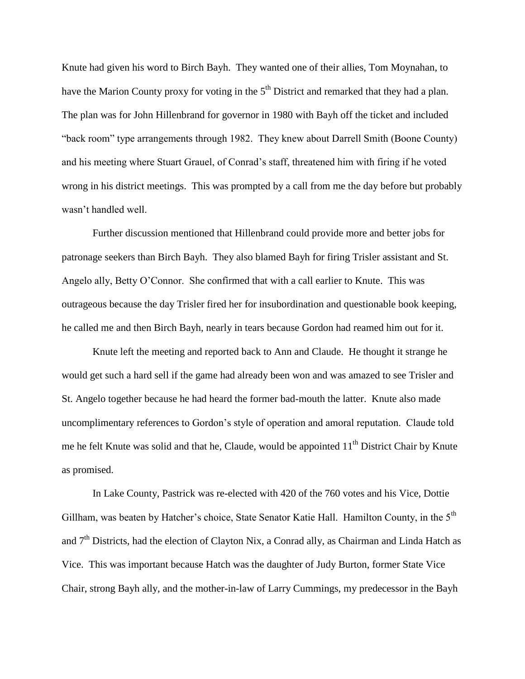Knute had given his word to Birch Bayh. They wanted one of their allies, Tom Moynahan, to have the Marion County proxy for voting in the 5<sup>th</sup> District and remarked that they had a plan. The plan was for John Hillenbrand for governor in 1980 with Bayh off the ticket and included "back room" type arrangements through 1982. They knew about Darrell Smith (Boone County) and his meeting where Stuart Grauel, of Conrad's staff, threatened him with firing if he voted wrong in his district meetings. This was prompted by a call from me the day before but probably wasn't handled well.

Further discussion mentioned that Hillenbrand could provide more and better jobs for patronage seekers than Birch Bayh. They also blamed Bayh for firing Trisler assistant and St. Angelo ally, Betty O'Connor. She confirmed that with a call earlier to Knute. This was outrageous because the day Trisler fired her for insubordination and questionable book keeping, he called me and then Birch Bayh, nearly in tears because Gordon had reamed him out for it.

Knute left the meeting and reported back to Ann and Claude. He thought it strange he would get such a hard sell if the game had already been won and was amazed to see Trisler and St. Angelo together because he had heard the former bad-mouth the latter. Knute also made uncomplimentary references to Gordon's style of operation and amoral reputation. Claude told me he felt Knute was solid and that he, Claude, would be appointed  $11<sup>th</sup>$  District Chair by Knute as promised.

In Lake County, Pastrick was re-elected with 420 of the 760 votes and his Vice, Dottie Gillham, was beaten by Hatcher's choice, State Senator Katie Hall. Hamilton County, in the 5<sup>th</sup> and  $7<sup>th</sup>$  Districts, had the election of Clayton Nix, a Conrad ally, as Chairman and Linda Hatch as Vice. This was important because Hatch was the daughter of Judy Burton, former State Vice Chair, strong Bayh ally, and the mother-in-law of Larry Cummings, my predecessor in the Bayh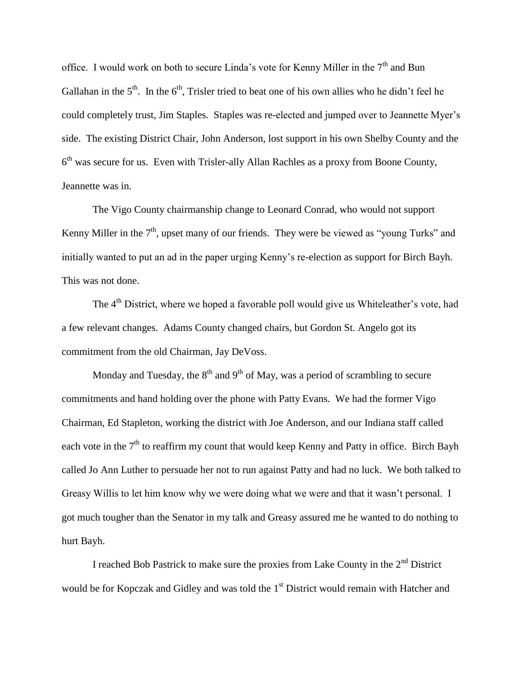office. I would work on both to secure Linda's vote for Kenny Miller in the 7<sup>th</sup> and Bun Gallahan in the  $5<sup>th</sup>$ . In the  $6<sup>th</sup>$ , Trisler tried to beat one of his own allies who he didn't feel he could completely trust, Jim Staples. Staples was re-elected and jumped over to Jeannette Myer's side. The existing District Chair, John Anderson, lost support in his own Shelby County and the 6<sup>th</sup> was secure for us. Even with Trisler-ally Allan Rachles as a proxy from Boone County, Jeannette was in.

The Vigo County chairmanship change to Leonard Conrad, who would not support Kenny Miller in the  $7<sup>th</sup>$ , upset many of our friends. They were be viewed as "young Turks" and initially wanted to put an ad in the paper urging Kenny's re-election as support for Birch Bayh. This was not done.

The  $4<sup>th</sup>$  District, where we hoped a favorable poll would give us Whiteleather's vote, had a few relevant changes. Adams County changed chairs, but Gordon St. Angelo got its commitment from the old Chairman, Jay DeVoss.

Monday and Tuesday, the  $8<sup>th</sup>$  and  $9<sup>th</sup>$  of May, was a period of scrambling to secure commitments and hand holding over the phone with Patty Evans. We had the former Vigo Chairman, Ed Stapleton, working the district with Joe Anderson, and our Indiana staff called each vote in the  $7<sup>th</sup>$  to reaffirm my count that would keep Kenny and Patty in office. Birch Bayh called Jo Ann Luther to persuade her not to run against Patty and had no luck. We both talked to Greasy Willis to let him know why we were doing what we were and that it wasn't personal. I got much tougher than the Senator in my talk and Greasy assured me he wanted to do nothing to hurt Bayh.

I reached Bob Pastrick to make sure the proxies from Lake County in the  $2<sup>nd</sup>$  District would be for Kopczak and Gidley and was told the 1<sup>st</sup> District would remain with Hatcher and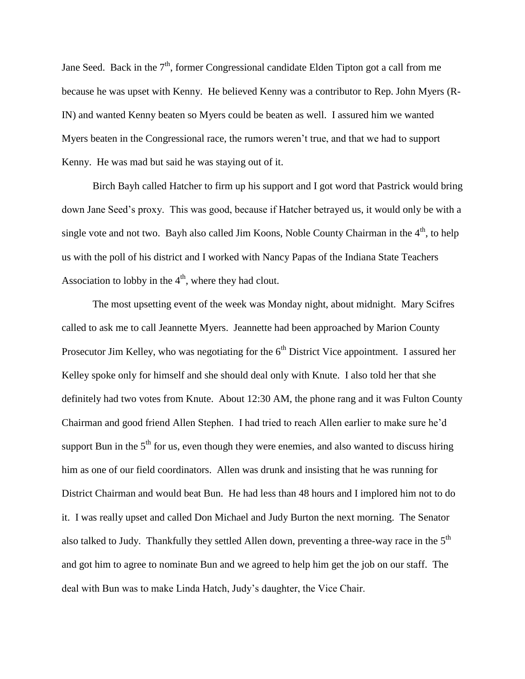Jane Seed. Back in the  $7<sup>th</sup>$ , former Congressional candidate Elden Tipton got a call from me because he was upset with Kenny. He believed Kenny was a contributor to Rep. John Myers (R-IN) and wanted Kenny beaten so Myers could be beaten as well. I assured him we wanted Myers beaten in the Congressional race, the rumors weren't true, and that we had to support Kenny. He was mad but said he was staying out of it.

Birch Bayh called Hatcher to firm up his support and I got word that Pastrick would bring down Jane Seed's proxy. This was good, because if Hatcher betrayed us, it would only be with a single vote and not two. Bayh also called Jim Koons, Noble County Chairman in the  $4<sup>th</sup>$ , to help us with the poll of his district and I worked with Nancy Papas of the Indiana State Teachers Association to lobby in the  $4<sup>th</sup>$ , where they had clout.

The most upsetting event of the week was Monday night, about midnight. Mary Scifres called to ask me to call Jeannette Myers. Jeannette had been approached by Marion County Prosecutor Jim Kelley, who was negotiating for the  $6<sup>th</sup>$  District Vice appointment. I assured her Kelley spoke only for himself and she should deal only with Knute. I also told her that she definitely had two votes from Knute. About 12:30 AM, the phone rang and it was Fulton County Chairman and good friend Allen Stephen. I had tried to reach Allen earlier to make sure he'd support Bun in the  $5<sup>th</sup>$  for us, even though they were enemies, and also wanted to discuss hiring him as one of our field coordinators. Allen was drunk and insisting that he was running for District Chairman and would beat Bun. He had less than 48 hours and I implored him not to do it. I was really upset and called Don Michael and Judy Burton the next morning. The Senator also talked to Judy. Thankfully they settled Allen down, preventing a three-way race in the  $5<sup>th</sup>$ and got him to agree to nominate Bun and we agreed to help him get the job on our staff. The deal with Bun was to make Linda Hatch, Judy's daughter, the Vice Chair.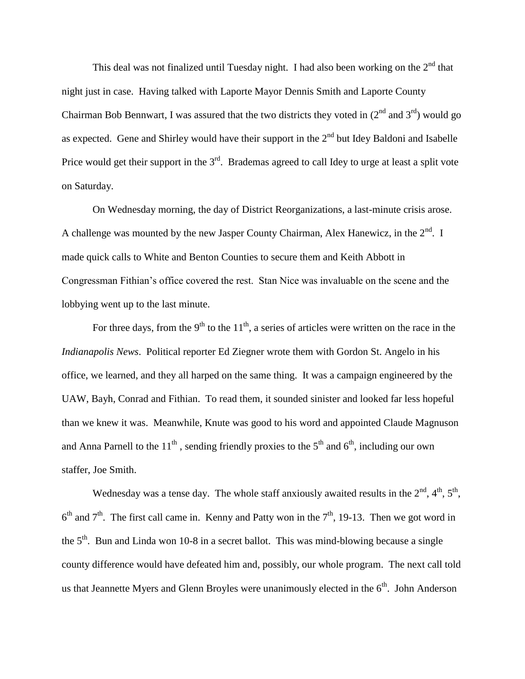This deal was not finalized until Tuesday night. I had also been working on the  $2<sup>nd</sup>$  that night just in case. Having talked with Laporte Mayor Dennis Smith and Laporte County Chairman Bob Bennwart, I was assured that the two districts they voted in  $(2^{nd}$  and  $3^{rd})$  would go as expected. Gene and Shirley would have their support in the  $2<sup>nd</sup>$  but Idey Baldoni and Isabelle Price would get their support in the 3<sup>rd</sup>. Brademas agreed to call Idey to urge at least a split vote on Saturday.

On Wednesday morning, the day of District Reorganizations, a last-minute crisis arose. A challenge was mounted by the new Jasper County Chairman, Alex Hanewicz, in the  $2^{nd}$ . I made quick calls to White and Benton Counties to secure them and Keith Abbott in Congressman Fithian's office covered the rest. Stan Nice was invaluable on the scene and the lobbying went up to the last minute.

For three days, from the 9<sup>th</sup> to the 11<sup>th</sup>, a series of articles were written on the race in the *Indianapolis News*. Political reporter Ed Ziegner wrote them with Gordon St. Angelo in his office, we learned, and they all harped on the same thing. It was a campaign engineered by the UAW, Bayh, Conrad and Fithian. To read them, it sounded sinister and looked far less hopeful than we knew it was. Meanwhile, Knute was good to his word and appointed Claude Magnuson and Anna Parnell to the 11<sup>th</sup>, sending friendly proxies to the 5<sup>th</sup> and 6<sup>th</sup>, including our own staffer, Joe Smith.

Wednesday was a tense day. The whole staff anxiously awaited results in the  $2<sup>nd</sup>$ ,  $4<sup>th</sup>$ ,  $5<sup>th</sup>$ ,  $6<sup>th</sup>$  and  $7<sup>th</sup>$ . The first call came in. Kenny and Patty won in the  $7<sup>th</sup>$ , 19-13. Then we got word in the  $5<sup>th</sup>$ . Bun and Linda won 10-8 in a secret ballot. This was mind-blowing because a single county difference would have defeated him and, possibly, our whole program. The next call told us that Jeannette Myers and Glenn Broyles were unanimously elected in the  $6<sup>th</sup>$ . John Anderson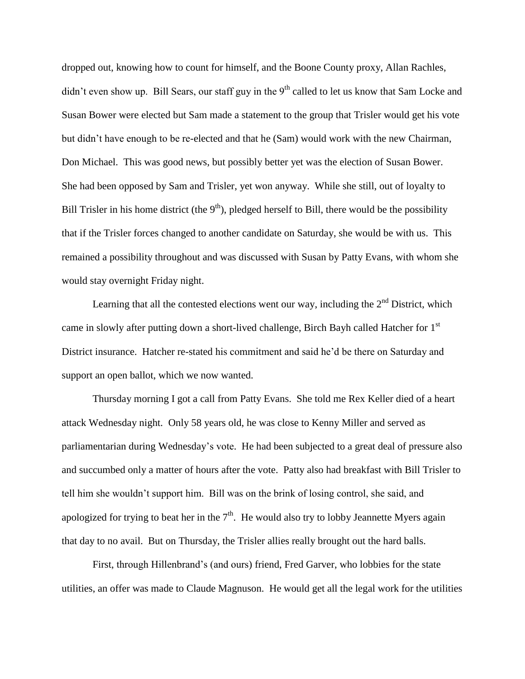dropped out, knowing how to count for himself, and the Boone County proxy, Allan Rachles, didn't even show up. Bill Sears, our staff guy in the 9<sup>th</sup> called to let us know that Sam Locke and Susan Bower were elected but Sam made a statement to the group that Trisler would get his vote but didn't have enough to be re-elected and that he (Sam) would work with the new Chairman, Don Michael. This was good news, but possibly better yet was the election of Susan Bower. She had been opposed by Sam and Trisler, yet won anyway. While she still, out of loyalty to Bill Trisler in his home district (the  $9<sup>th</sup>$ ), pledged herself to Bill, there would be the possibility that if the Trisler forces changed to another candidate on Saturday, she would be with us. This remained a possibility throughout and was discussed with Susan by Patty Evans, with whom she would stay overnight Friday night.

Learning that all the contested elections went our way, including the  $2<sup>nd</sup>$  District, which came in slowly after putting down a short-lived challenge, Birch Bayh called Hatcher for 1<sup>st</sup> District insurance. Hatcher re-stated his commitment and said he'd be there on Saturday and support an open ballot, which we now wanted.

Thursday morning I got a call from Patty Evans. She told me Rex Keller died of a heart attack Wednesday night. Only 58 years old, he was close to Kenny Miller and served as parliamentarian during Wednesday's vote. He had been subjected to a great deal of pressure also and succumbed only a matter of hours after the vote. Patty also had breakfast with Bill Trisler to tell him she wouldn't support him. Bill was on the brink of losing control, she said, and apologized for trying to beat her in the  $7<sup>th</sup>$ . He would also try to lobby Jeannette Myers again that day to no avail. But on Thursday, the Trisler allies really brought out the hard balls.

First, through Hillenbrand's (and ours) friend, Fred Garver, who lobbies for the state utilities, an offer was made to Claude Magnuson. He would get all the legal work for the utilities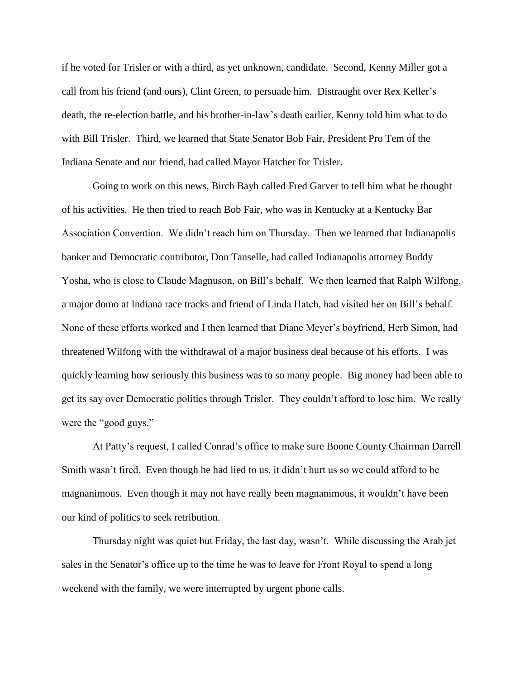if he voted for Trisler or with a third, as yet unknown, candidate. Second, Kenny Miller got a call from his friend (and ours), Clint Green, to persuade him. Distraught over Rex Keller's death, the re-election battle, and his brother-in-law's death earlier, Kenny told him what to do with Bill Trisler. Third, we learned that State Senator Bob Fair, President Pro Tem of the Indiana Senate and our friend, had called Mayor Hatcher for Trisler.

Going to work on this news, Birch Bayh called Fred Garver to tell him what he thought of his activities. He then tried to reach Bob Fair, who was in Kentucky at a Kentucky Bar Association Convention. We didn't reach him on Thursday. Then we learned that Indianapolis banker and Democratic contributor, Don Tanselle, had called Indianapolis attorney Buddy Yosha, who is close to Claude Magnuson, on Bill's behalf. We then learned that Ralph Wilfong, a major domo at Indiana race tracks and friend of Linda Hatch, had visited her on Bill's behalf. None of these efforts worked and I then learned that Diane Meyer's boyfriend, Herb Simon, had threatened Wilfong with the withdrawal of a major business deal because of his efforts. I was quickly learning how seriously this business was to so many people. Big money had been able to get its say over Democratic politics through Trisler. They couldn't afford to lose him. We really were the "good guys."

At Patty's request, I called Conrad's office to make sure Boone County Chairman Darrell Smith wasn't fired. Even though he had lied to us, it didn't hurt us so we could afford to be magnanimous. Even though it may not have really been magnanimous, it wouldn't have been our kind of politics to seek retribution.

Thursday night was quiet but Friday, the last day, wasn't. While discussing the Arab jet sales in the Senator's office up to the time he was to leave for Front Royal to spend a long weekend with the family, we were interrupted by urgent phone calls.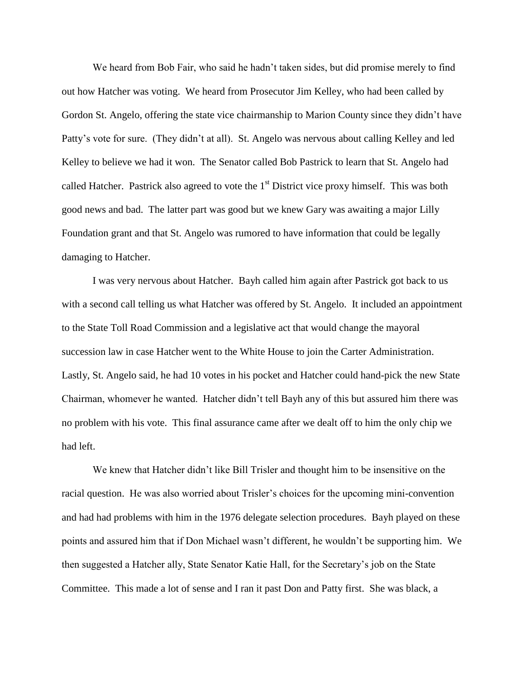We heard from Bob Fair, who said he hadn't taken sides, but did promise merely to find out how Hatcher was voting. We heard from Prosecutor Jim Kelley, who had been called by Gordon St. Angelo, offering the state vice chairmanship to Marion County since they didn't have Patty's vote for sure. (They didn't at all). St. Angelo was nervous about calling Kelley and led Kelley to believe we had it won. The Senator called Bob Pastrick to learn that St. Angelo had called Hatcher. Pastrick also agreed to vote the  $1<sup>st</sup>$  District vice proxy himself. This was both good news and bad. The latter part was good but we knew Gary was awaiting a major Lilly Foundation grant and that St. Angelo was rumored to have information that could be legally damaging to Hatcher.

I was very nervous about Hatcher. Bayh called him again after Pastrick got back to us with a second call telling us what Hatcher was offered by St. Angelo. It included an appointment to the State Toll Road Commission and a legislative act that would change the mayoral succession law in case Hatcher went to the White House to join the Carter Administration. Lastly, St. Angelo said, he had 10 votes in his pocket and Hatcher could hand-pick the new State Chairman, whomever he wanted. Hatcher didn't tell Bayh any of this but assured him there was no problem with his vote. This final assurance came after we dealt off to him the only chip we had left.

We knew that Hatcher didn't like Bill Trisler and thought him to be insensitive on the racial question. He was also worried about Trisler's choices for the upcoming mini-convention and had had problems with him in the 1976 delegate selection procedures. Bayh played on these points and assured him that if Don Michael wasn't different, he wouldn't be supporting him. We then suggested a Hatcher ally, State Senator Katie Hall, for the Secretary's job on the State Committee. This made a lot of sense and I ran it past Don and Patty first. She was black, a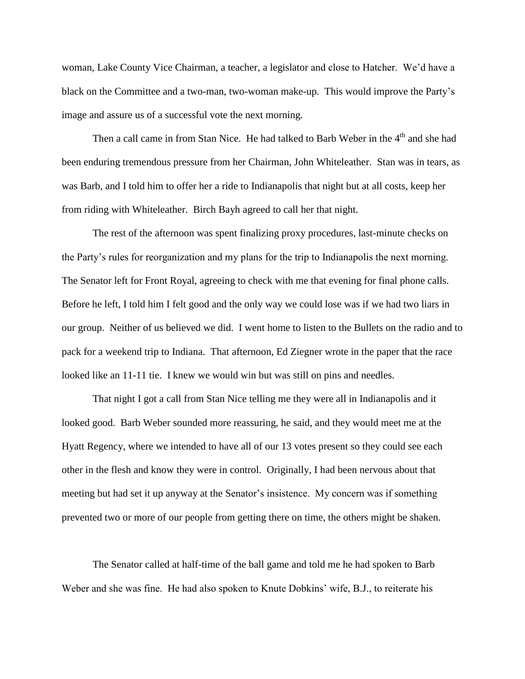woman, Lake County Vice Chairman, a teacher, a legislator and close to Hatcher. We'd have a black on the Committee and a two-man, two-woman make-up. This would improve the Party's image and assure us of a successful vote the next morning.

Then a call came in from Stan Nice. He had talked to Barb Weber in the 4<sup>th</sup> and she had been enduring tremendous pressure from her Chairman, John Whiteleather. Stan was in tears, as was Barb, and I told him to offer her a ride to Indianapolis that night but at all costs, keep her from riding with Whiteleather. Birch Bayh agreed to call her that night.

The rest of the afternoon was spent finalizing proxy procedures, last-minute checks on the Party's rules for reorganization and my plans for the trip to Indianapolis the next morning. The Senator left for Front Royal, agreeing to check with me that evening for final phone calls. Before he left, I told him I felt good and the only way we could lose was if we had two liars in our group. Neither of us believed we did. I went home to listen to the Bullets on the radio and to pack for a weekend trip to Indiana. That afternoon, Ed Ziegner wrote in the paper that the race looked like an 11-11 tie. I knew we would win but was still on pins and needles.

That night I got a call from Stan Nice telling me they were all in Indianapolis and it looked good. Barb Weber sounded more reassuring, he said, and they would meet me at the Hyatt Regency, where we intended to have all of our 13 votes present so they could see each other in the flesh and know they were in control. Originally, I had been nervous about that meeting but had set it up anyway at the Senator's insistence. My concern was if something prevented two or more of our people from getting there on time, the others might be shaken.

The Senator called at half-time of the ball game and told me he had spoken to Barb Weber and she was fine. He had also spoken to Knute Dobkins' wife, B.J., to reiterate his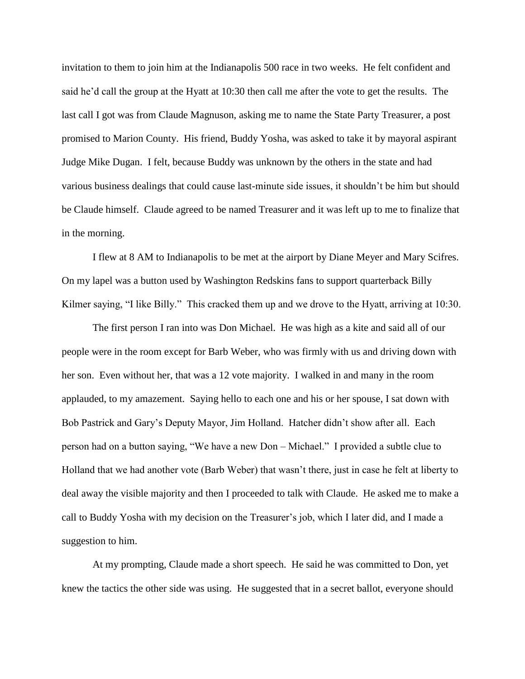invitation to them to join him at the Indianapolis 500 race in two weeks. He felt confident and said he'd call the group at the Hyatt at 10:30 then call me after the vote to get the results. The last call I got was from Claude Magnuson, asking me to name the State Party Treasurer, a post promised to Marion County. His friend, Buddy Yosha, was asked to take it by mayoral aspirant Judge Mike Dugan. I felt, because Buddy was unknown by the others in the state and had various business dealings that could cause last-minute side issues, it shouldn't be him but should be Claude himself. Claude agreed to be named Treasurer and it was left up to me to finalize that in the morning.

I flew at 8 AM to Indianapolis to be met at the airport by Diane Meyer and Mary Scifres. On my lapel was a button used by Washington Redskins fans to support quarterback Billy Kilmer saying, "I like Billy." This cracked them up and we drove to the Hyatt, arriving at 10:30.

The first person I ran into was Don Michael. He was high as a kite and said all of our people were in the room except for Barb Weber, who was firmly with us and driving down with her son. Even without her, that was a 12 vote majority. I walked in and many in the room applauded, to my amazement. Saying hello to each one and his or her spouse, I sat down with Bob Pastrick and Gary's Deputy Mayor, Jim Holland. Hatcher didn't show after all. Each person had on a button saying, "We have a new Don – Michael." I provided a subtle clue to Holland that we had another vote (Barb Weber) that wasn't there, just in case he felt at liberty to deal away the visible majority and then I proceeded to talk with Claude. He asked me to make a call to Buddy Yosha with my decision on the Treasurer's job, which I later did, and I made a suggestion to him.

At my prompting, Claude made a short speech. He said he was committed to Don, yet knew the tactics the other side was using. He suggested that in a secret ballot, everyone should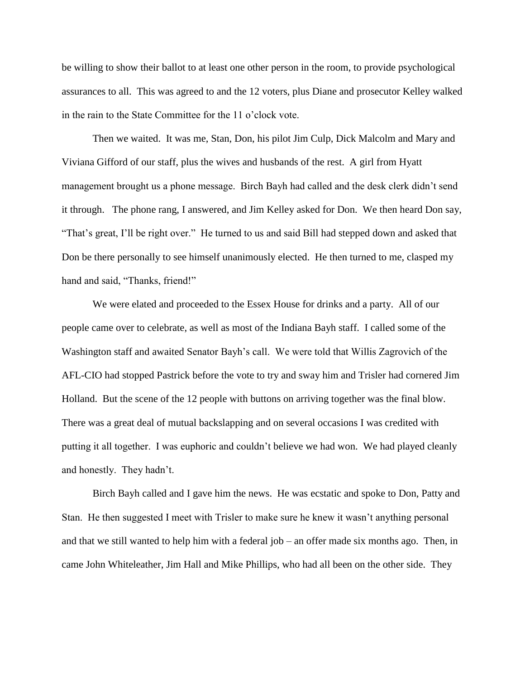be willing to show their ballot to at least one other person in the room, to provide psychological assurances to all. This was agreed to and the 12 voters, plus Diane and prosecutor Kelley walked in the rain to the State Committee for the 11 o'clock vote.

Then we waited. It was me, Stan, Don, his pilot Jim Culp, Dick Malcolm and Mary and Viviana Gifford of our staff, plus the wives and husbands of the rest. A girl from Hyatt management brought us a phone message. Birch Bayh had called and the desk clerk didn't send it through. The phone rang, I answered, and Jim Kelley asked for Don. We then heard Don say, "That's great, I'll be right over." He turned to us and said Bill had stepped down and asked that Don be there personally to see himself unanimously elected. He then turned to me, clasped my hand and said, "Thanks, friend!"

We were elated and proceeded to the Essex House for drinks and a party. All of our people came over to celebrate, as well as most of the Indiana Bayh staff. I called some of the Washington staff and awaited Senator Bayh's call. We were told that Willis Zagrovich of the AFL-CIO had stopped Pastrick before the vote to try and sway him and Trisler had cornered Jim Holland. But the scene of the 12 people with buttons on arriving together was the final blow. There was a great deal of mutual backslapping and on several occasions I was credited with putting it all together. I was euphoric and couldn't believe we had won. We had played cleanly and honestly. They hadn't.

Birch Bayh called and I gave him the news. He was ecstatic and spoke to Don, Patty and Stan. He then suggested I meet with Trisler to make sure he knew it wasn't anything personal and that we still wanted to help him with a federal job – an offer made six months ago. Then, in came John Whiteleather, Jim Hall and Mike Phillips, who had all been on the other side. They